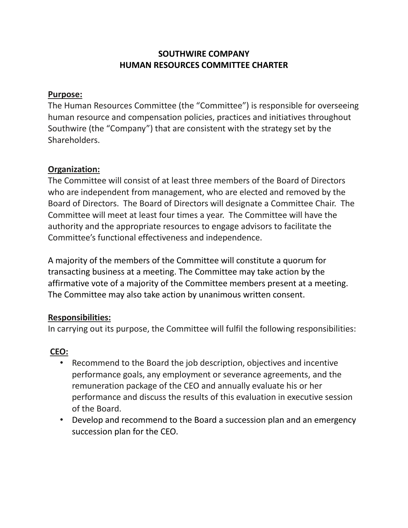# **SOUTHWIRE COMPANY HUMAN RESOURCES COMMITTEE CHARTER**

#### **Purpose:**

The Human Resources Committee (the "Committee") is responsible for overseeing human resource and compensation policies, practices and initiatives throughout Southwire (the "Company") that are consistent with the strategy set by the Shareholders.

#### **Organization:**

The Committee will consist of at least three members of the Board of Directors who are independent from management, who are elected and removed by the Board of Directors. The Board of Directors will designate a Committee Chair. The Committee will meet at least four times a year. The Committee will have the authority and the appropriate resources to engage advisors to facilitate the Committee's functional effectiveness and independence.

A majority of the members of the Committee will constitute a quorum for transacting business at a meeting. The Committee may take action by the affirmative vote of a majority of the Committee members present at a meeting. The Committee may also take action by unanimous written consent.

## **Responsibilities:**

In carrying out its purpose, the Committee will fulfil the following responsibilities:

## **CEO:**

- Recommend to the Board the job description, objectives and incentive performance goals, any employment or severance agreements, and the remuneration package of the CEO and annually evaluate his or her performance and discuss the results of this evaluation in executive session of the Board.
- Develop and recommend to the Board a succession plan and an emergency succession plan for the CEO.